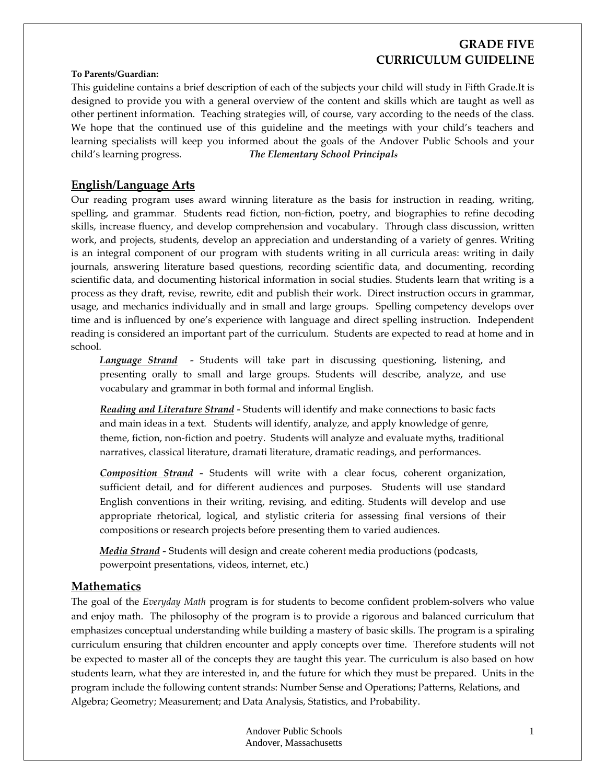# **GRADE FIVE CURRICULUM GUIDELINE**

#### **To Parents/Guardian:**

This guideline contains a brief description of each of the subjects your child will study in Fifth Grade.It is designed to provide you with a general overview of the content and skills which are taught as well as other pertinent information. Teaching strategies will, of course, vary according to the needs of the class. We hope that the continued use of this guideline and the meetings with your child's teachers and learning specialists will keep you informed about the goals of the Andover Public Schools and your child's learning progress. *The Elementary School Principals*

### **English/Language Arts**

Our reading program uses award winning literature as the basis for instruction in reading, writing, spelling, and grammar. Students read fiction, non-fiction, poetry, and biographies to refine decoding skills, increase fluency, and develop comprehension and vocabulary. Through class discussion, written work, and projects, students, develop an appreciation and understanding of a variety of genres. Writing is an integral component of our program with students writing in all curricula areas: writing in daily journals, answering literature based questions, recording scientific data, and documenting, recording scientific data, and documenting historical information in social studies. Students learn that writing is a process as they draft, revise, rewrite, edit and publish their work. Direct instruction occurs in grammar, usage, and mechanics individually and in small and large groups. Spelling competency develops over time and is influenced by one's experience with language and direct spelling instruction. Independent reading is considered an important part of the curriculum. Students are expected to read at home and in school.

*Language Strand ‐*  Students will take part in discussing questioning, listening, and presenting orally to small and large groups. Students will describe, analyze, and use vocabulary and grammar in both formal and informal English.

*Reading and Literature Strand ‐* Students will identify and make connections to basic facts and main ideas in a text. Students will identify, analyze, and apply knowledge of genre, theme, fiction, non‐fiction and poetry. Students will analyze and evaluate myths, traditional narratives, classical literature, dramati literature, dramatic readings, and performances.

*Composition Strand ‐*  Students will write with a clear focus, coherent organization, sufficient detail, and for different audiences and purposes. Students will use standard English conventions in their writing, revising, and editing. Students will develop and use appropriate rhetorical, logical, and stylistic criteria for assessing final versions of their compositions or research projects before presenting them to varied audiences.

*Media Strand ‐* Students will design and create coherent media productions (podcasts, powerpoint presentations, videos, internet, etc.)

#### **Mathematics**

The goal of the *Everyday Math* program is for students to become confident problem‐solvers who value and enjoy math. The philosophy of the program is to provide a rigorous and balanced curriculum that emphasizes conceptual understanding while building a mastery of basic skills. The program is a spiraling curriculum ensuring that children encounter and apply concepts over time. Therefore students will not be expected to master all of the concepts they are taught this year. The curriculum is also based on how students learn, what they are interested in, and the future for which they must be prepared. Units in the program include the following content strands: Number Sense and Operations; Patterns, Relations, and Algebra; Geometry; Measurement; and Data Analysis, Statistics, and Probability.

> Andover Public Schools Andover, Massachusetts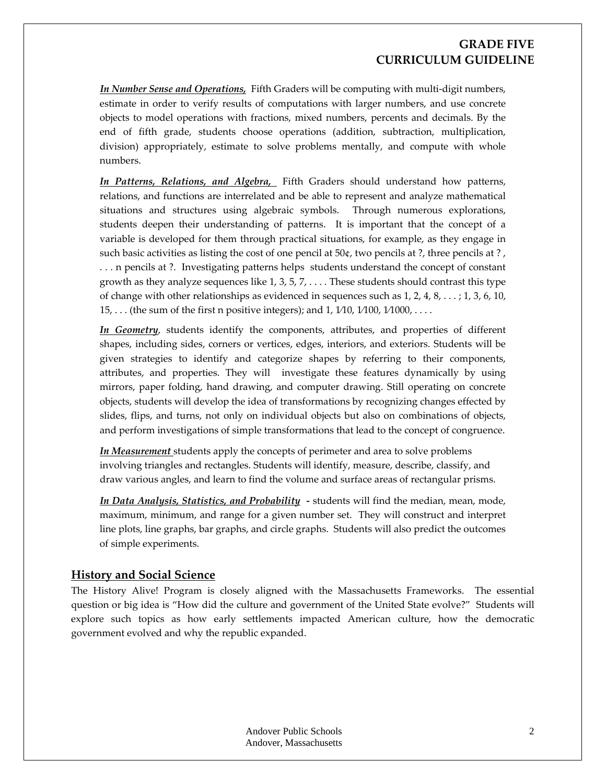## **GRADE FIVE CURRICULUM GUIDELINE**

*In Number Sense and Operations,* Fifth Graders will be computing with multi‐digit numbers, estimate in order to verify results of computations with larger numbers, and use concrete objects to model operations with fractions, mixed numbers, percents and decimals. By the end of fifth grade, students choose operations (addition, subtraction, multiplication, division) appropriately, estimate to solve problems mentally, and compute with whole numbers.

*In Patterns, Relations, and Algebra,* Fifth Graders should understand how patterns, relations, and functions are interrelated and be able to represent and analyze mathematical situations and structures using algebraic symbols. Through numerous explorations, students deepen their understanding of patterns. It is important that the concept of a variable is developed for them through practical situations, for example, as they engage in such basic activities as listing the cost of one pencil at 50¢, two pencils at ?, three pencils at ? , . . . n pencils at ?. Investigating patterns helps students understand the concept of constant growth as they analyze sequences like  $1, 3, 5, 7, \ldots$ . These students should contrast this type of change with other relationships as evidenced in sequences such as  $1, 2, 4, 8, \ldots$ ;  $1, 3, 6, 10$ , 15, . . . (the sum of the first n positive integers); and 1, 1⁄10, 1⁄100, 1⁄1000, . . . .

*In Geometry*, students identify the components, attributes, and properties of different shapes, including sides, corners or vertices, edges, interiors, and exteriors. Students will be given strategies to identify and categorize shapes by referring to their components, attributes, and properties. They will investigate these features dynamically by using mirrors, paper folding, hand drawing, and computer drawing. Still operating on concrete objects, students will develop the idea of transformations by recognizing changes effected by slides, flips, and turns, not only on individual objects but also on combinations of objects, and perform investigations of simple transformations that lead to the concept of congruence.

*In Measurement* students apply the concepts of perimeter and area to solve problems involving triangles and rectangles. Students will identify, measure, describe, classify, and draw various angles, and learn to find the volume and surface areas of rectangular prisms.

*In Data Analysis, Statistics, and Probability ‐* students will find the median, mean, mode, maximum, minimum, and range for a given number set. They will construct and interpret line plots, line graphs, bar graphs, and circle graphs. Students will also predict the outcomes of simple experiments.

#### **History and Social Science**

The History Alive! Program is closely aligned with the Massachusetts Frameworks. The essential question or big idea is "How did the culture and government of the United State evolve?" Students will explore such topics as how early settlements impacted American culture, how the democratic government evolved and why the republic expanded.